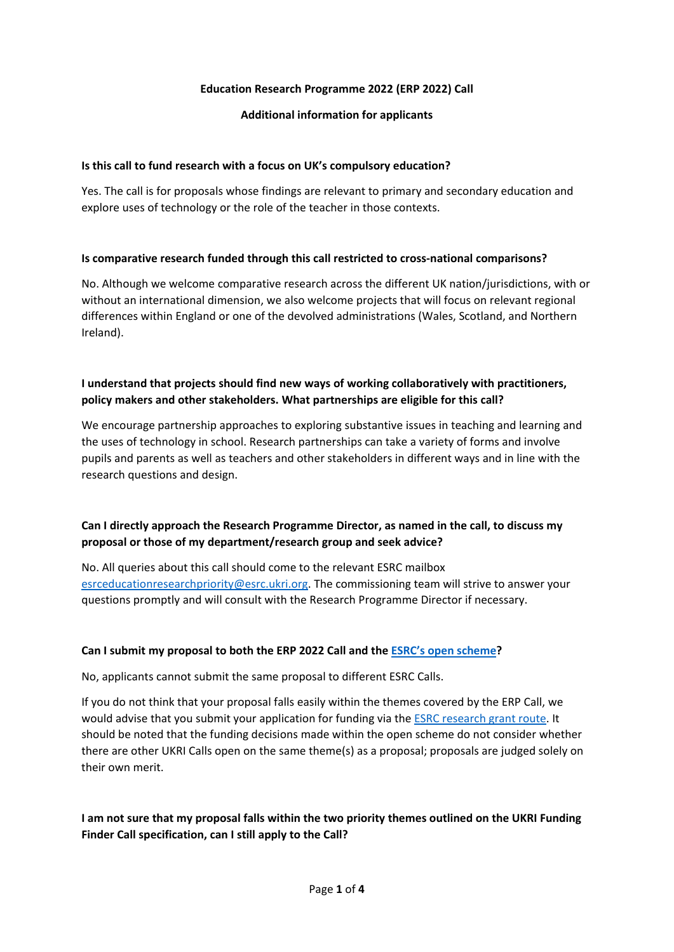### **Education Research Programme 2022 (ERP 2022) Call**

### **Additional information for applicants**

### **Is this call to fund research with a focus on UK's compulsory education?**

Yes. The call is for proposals whose findings are relevant to primary and secondary education and explore uses of technology or the role of the teacher in those contexts.

### **Is comparative research funded through this call restricted to cross-national comparisons?**

No. Although we welcome comparative research across the different UK nation/jurisdictions, with or without an international dimension, we also welcome projects that will focus on relevant regional differences within England or one of the devolved administrations (Wales, Scotland, and Northern Ireland).

## **I understand that projects should find new ways of working collaboratively with practitioners, policy makers and other stakeholders. What partnerships are eligible for this call?**

We encourage partnership approaches to exploring substantive issues in teaching and learning and the uses of technology in school. Research partnerships can take a variety of forms and involve pupils and parents as well as teachers and other stakeholders in different ways and in line with the research questions and design.

# **Can I directly approach the Research Programme Director, as named in the call, to discuss my proposal or those of my department/research group and seek advice?**

No. All queries about this call should come to the relevant ESRC mailbox [esrceducationresearchpriority@esrc.ukri.org.](mailto:esrceducationresearchpriority@esrc.ukri.org) The commissioning team will strive to answer your questions promptly and will consult with the Research Programme Director if necessary.

## **Can I submit my proposal to both the ERP 2022 Call and th[e ESRC's open scheme?](https://www.ukri.org/opportunity/esrc-research-grant/)**

No, applicants cannot submit the same proposal to different ESRC Calls.

If you do not think that your proposal falls easily within the themes covered by the ERP Call, we would advise that you submit your application for funding via the [ESRC research grant route.](https://www.ukri.org/opportunity/esrc-research-grant/) It should be noted that the funding decisions made within the open scheme do not consider whether there are other UKRI Calls open on the same theme(s) as a proposal; proposals are judged solely on their own merit.

## **I am not sure that my proposal falls within the two priority themes outlined on the UKRI Funding Finder Call specification, can I still apply to the Call?**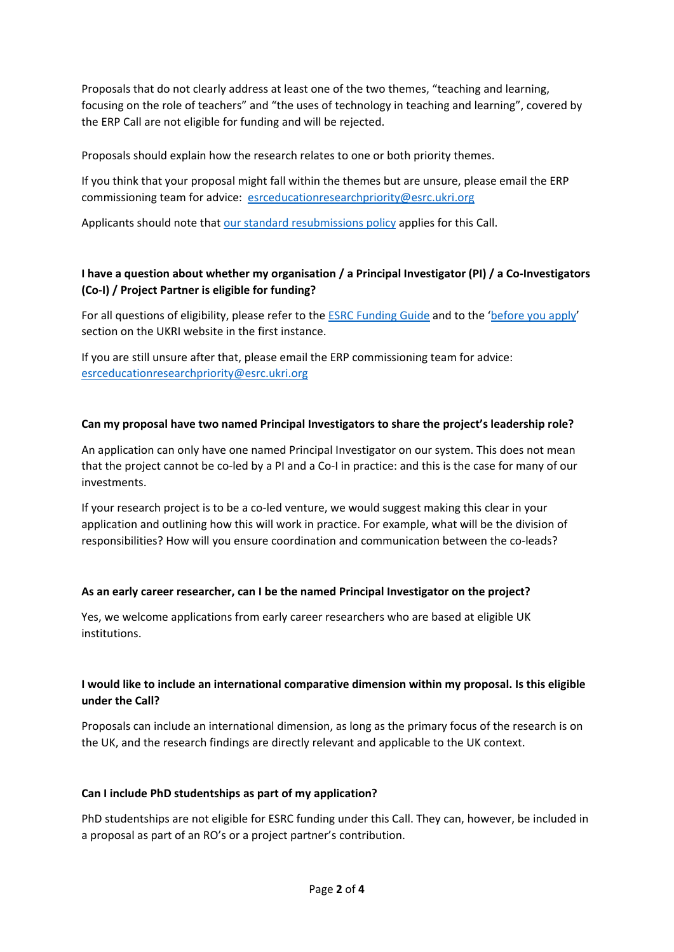Proposals that do not clearly address at least one of the two themes, "teaching and learning, focusing on the role of teachers" and "the uses of technology in teaching and learning", covered by the ERP Call are not eligible for funding and will be rejected.

Proposals should explain how the research relates to one or both priority themes.

If you think that your proposal might fall within the themes but are unsure, please email the ERP commissioning team for advice: [esrceducationresearchpriority@esrc.ukri.org](mailto:esrceducationresearchpriority@esrc.ukri.org)

Applicants should note tha[t our standard resubmissions policy](https://esrc.ukri.org/funding/guidance-for-applicants/resubmissions-policy/) applies for this Call.

# **I have a question about whether my organisation / a Principal Investigator (PI) / a Co-Investigators (Co-I) / Project Partner is eligible for funding?**

For all questions of eligibility, please refer to the [ESRC Funding Guide](https://esrc.ukri.org/funding/guidance-for-applicants/research-funding-guide/) and to the ['before you apply'](https://www.ukri.org/apply-for-funding/before-you-apply/check-if-you-are-eligible-for-research-and-innovation-funding/who-can-apply-for-funding/#contents-list)  section on the UKRI website in the first instance.

If you are still unsure after that, please email the ERP commissioning team for advice: [esrceducationresearchpriority@esrc.ukri.org](mailto:esrceducationresearchpriority@esrc.ukri.org)

### **Can my proposal have two named Principal Investigators to share the project's leadership role?**

An application can only have one named Principal Investigator on our system. This does not mean that the project cannot be co-led by a PI and a Co-I in practice: and this is the case for many of our investments.

If your research project is to be a co-led venture, we would suggest making this clear in your application and outlining how this will work in practice. For example, what will be the division of responsibilities? How will you ensure coordination and communication between the co-leads?

## **As an early career researcher, can I be the named Principal Investigator on the project?**

Yes, we welcome applications from early career researchers who are based at eligible UK institutions.

## **I would like to include an international comparative dimension within my proposal. Is this eligible under the Call?**

Proposals can include an international dimension, as long as the primary focus of the research is on the UK, and the research findings are directly relevant and applicable to the UK context.

#### **Can I include PhD studentships as part of my application?**

PhD studentships are not eligible for ESRC funding under this Call. They can, however, be included in a proposal as part of an RO's or a project partner's contribution.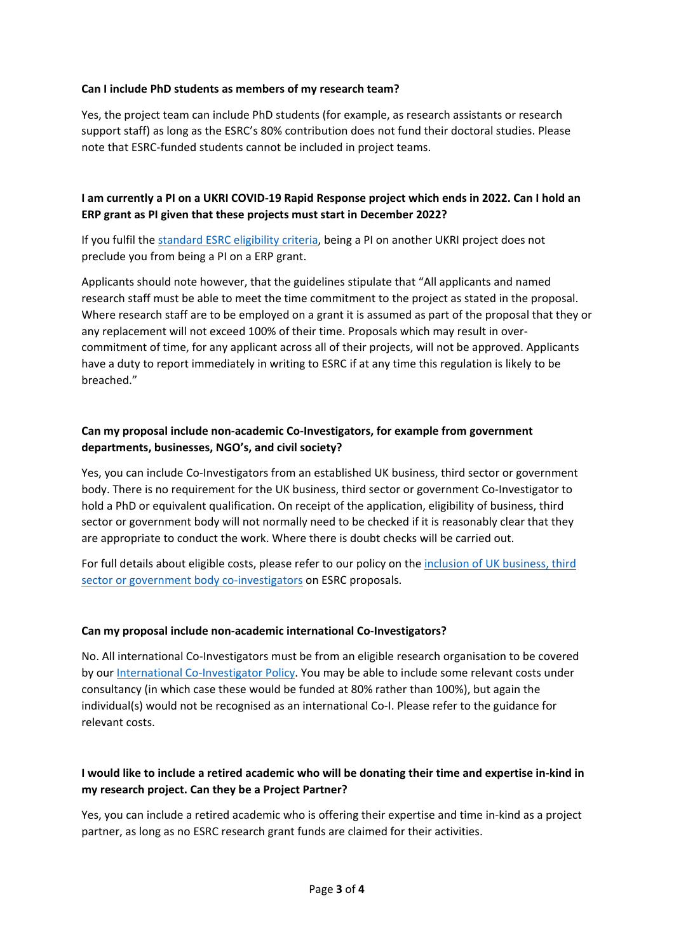### **Can I include PhD students as members of my research team?**

Yes, the project team can include PhD students (for example, as research assistants or research support staff) as long as the ESRC's 80% contribution does not fund their doctoral studies. Please note that ESRC-funded students cannot be included in project teams.

## **I am currently a PI on a UKRI COVID-19 Rapid Response project which ends in 2022. Can I hold an ERP grant as PI given that these projects must start in December 2022?**

If you fulfil th[e standard ESRC eligibility criteria,](https://esrc.ukri.org/funding/guidance-for-applicants/research-funding-guide/) being a PI on another UKRI project does not preclude you from being a PI on a ERP grant.

Applicants should note however, that the guidelines stipulate that "All applicants and named research staff must be able to meet the time commitment to the project as stated in the proposal. Where research staff are to be employed on a grant it is assumed as part of the proposal that they or any replacement will not exceed 100% of their time. Proposals which may result in overcommitment of time, for any applicant across all of their projects, will not be approved. Applicants have a duty to report immediately in writing to ESRC if at any time this regulation is likely to be breached."

## **Can my proposal include non-academic Co-Investigators, for example from government departments, businesses, NGO's, and civil society?**

Yes, you can include Co-Investigators from an established UK business, third sector or government body. There is no requirement for the UK business, third sector or government Co-Investigator to hold a PhD or equivalent qualification. On receipt of the application, eligibility of business, third sector or government body will not normally need to be checked if it is reasonably clear that they are appropriate to conduct the work. Where there is doubt checks will be carried out.

For full details about eligible costs, please refer to our policy on the [inclusion of UK business, third](https://esrc.ukri.org/funding/guidance-for-applicants/inclusion-of-uk-business-third-sector-or-government-body-co-investigators-on-proposals/)  [sector or government body co-investigators](https://esrc.ukri.org/funding/guidance-for-applicants/inclusion-of-uk-business-third-sector-or-government-body-co-investigators-on-proposals/) on ESRC proposals.

#### **Can my proposal include non-academic international Co-Investigators?**

No. All international Co-Investigators must be from an eligible research organisation to be covered by our [International Co-Investigator Policy.](https://esrc.ukri.org/files/funding/guidance-for-applicants/international-co-investigator-policy-guidance/) You may be able to include some relevant costs under consultancy (in which case these would be funded at 80% rather than 100%), but again the individual(s) would not be recognised as an international Co-I. Please refer to the guidance for relevant costs.

## **I would like to include a retired academic who will be donating their time and expertise in-kind in my research project. Can they be a Project Partner?**

Yes, you can include a retired academic who is offering their expertise and time in-kind as a project partner, as long as no ESRC research grant funds are claimed for their activities.